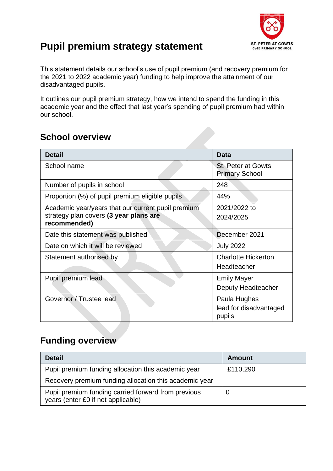

## **Pupil premium strategy statement**

This statement details our school's use of pupil premium (and recovery premium for the 2021 to 2022 academic year) funding to help improve the attainment of our disadvantaged pupils.

It outlines our pupil premium strategy, how we intend to spend the funding in this academic year and the effect that last year's spending of pupil premium had within our school.

#### **School overview**

| <b>Detail</b>                                                                                                | <b>Data</b>                                        |
|--------------------------------------------------------------------------------------------------------------|----------------------------------------------------|
| School name                                                                                                  | <b>St. Peter at Gowts</b><br><b>Primary School</b> |
| Number of pupils in school                                                                                   | 248                                                |
| Proportion (%) of pupil premium eligible pupils                                                              | 44%                                                |
| Academic year/years that our current pupil premium<br>strategy plan covers (3 year plans are<br>recommended) | 2021/2022 to<br>2024/2025                          |
| Date this statement was published                                                                            | December 2021                                      |
| Date on which it will be reviewed                                                                            | <b>July 2022</b>                                   |
| Statement authorised by                                                                                      | <b>Charlotte Hickerton</b><br>Headteacher          |
| Pupil premium lead                                                                                           | <b>Emily Mayer</b><br>Deputy Headteacher           |
| Governor / Trustee lead                                                                                      | Paula Hughes<br>lead for disadvantaged<br>pupils   |

#### **Funding overview**

| <b>Detail</b>                                                                             | Amount   |
|-------------------------------------------------------------------------------------------|----------|
| Pupil premium funding allocation this academic year                                       | £110,290 |
| Recovery premium funding allocation this academic year                                    |          |
| Pupil premium funding carried forward from previous<br>years (enter £0 if not applicable) |          |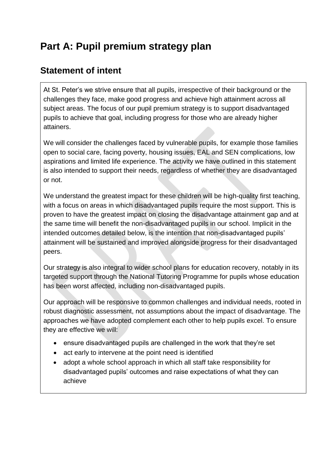# **Part A: Pupil premium strategy plan**

#### **Statement of intent**

At St. Peter's we strive ensure that all pupils, irrespective of their background or the challenges they face, make good progress and achieve high attainment across all subject areas. The focus of our pupil premium strategy is to support disadvantaged pupils to achieve that goal, including progress for those who are already higher attainers.

We will consider the challenges faced by vulnerable pupils, for example those families open to social care, facing poverty, housing issues, EAL and SEN complications, low aspirations and limited life experience. The activity we have outlined in this statement is also intended to support their needs, regardless of whether they are disadvantaged or not.

We understand the greatest impact for these children will be high-quality first teaching, with a focus on areas in which disadvantaged pupils require the most support. This is proven to have the greatest impact on closing the disadvantage attainment gap and at the same time will benefit the non-disadvantaged pupils in our school. Implicit in the intended outcomes detailed below, is the intention that non-disadvantaged pupils' attainment will be sustained and improved alongside progress for their disadvantaged peers.

Our strategy is also integral to wider school plans for education recovery, notably in its targeted support through the National Tutoring Programme for pupils whose education has been worst affected, including non-disadvantaged pupils.

Our approach will be responsive to common challenges and individual needs, rooted in robust diagnostic assessment, not assumptions about the impact of disadvantage. The approaches we have adopted complement each other to help pupils excel. To ensure they are effective we will:

- ensure disadvantaged pupils are challenged in the work that they're set
- act early to intervene at the point need is identified
- adopt a whole school approach in which all staff take responsibility for disadvantaged pupils' outcomes and raise expectations of what they can achieve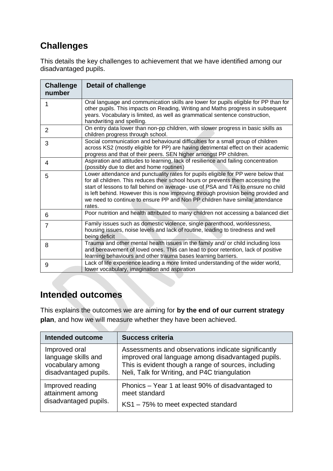### **Challenges**

This details the key challenges to achievement that we have identified among our disadvantaged pupils.

| <b>Challenge</b><br>number | <b>Detail of challenge</b>                                                                                                                                                                                                                                                                                                                                                                                                                 |
|----------------------------|--------------------------------------------------------------------------------------------------------------------------------------------------------------------------------------------------------------------------------------------------------------------------------------------------------------------------------------------------------------------------------------------------------------------------------------------|
|                            | Oral language and communication skills are lower for pupils eligible for PP than for<br>other pupils. This impacts on Reading, Writing and Maths progress in subsequent<br>years. Vocabulary is limited, as well as grammatical sentence construction,<br>handwriting and spelling.                                                                                                                                                        |
| 2                          | On entry data lower than non-pp children, with slower progress in basic skills as<br>children progress through school.                                                                                                                                                                                                                                                                                                                     |
| 3                          | Social communication and behavioural difficulties for a small group of children<br>across KS2 (mostly eligible for PP) are having detrimental effect on their academic<br>progress and that of their peers. SEN higher amongst PP children.                                                                                                                                                                                                |
| 4                          | Aspiration and attitudes to learning, lack of resilience and failing concentration<br>(possibly due to diet and home routines)                                                                                                                                                                                                                                                                                                             |
| 5                          | Lower attendance and punctuality rates for pupils eligible for PP were below that<br>for all children. This reduces their school hours or prevents them accessing the<br>start of lessons to fall behind on average- use of PSA and TAs to ensure no child<br>is left behind. However this is now improving through provision being provided and<br>we need to continue to ensure PP and Non PP children have similar attendance<br>rates. |
| 6                          | Poor nutrition and health attributed to many children not accessing a balanced diet                                                                                                                                                                                                                                                                                                                                                        |
| $\overline{7}$             | Family issues such as domestic violence, single parenthood, worklessness,<br>housing issues, noise levels and lack of routine, leading to tiredness and well<br>being deficit                                                                                                                                                                                                                                                              |
| 8                          | Trauma and other mental health issues in the family and/ or child including loss<br>and bereavement of loved ones. This can lead to poor retention, lack of positive<br>learning behaviours and other trauma bases learning barriers.                                                                                                                                                                                                      |
| 9                          | Lack of life experience leading a more limited understanding of the wider world,<br>lower vocabulary, imagination and aspiration                                                                                                                                                                                                                                                                                                           |

### **Intended outcomes**

This explains the outcomes we are aiming for **by the end of our current strategy plan**, and how we will measure whether they have been achieved.

| <b>Intended outcome</b> | <b>Success criteria</b>                              |
|-------------------------|------------------------------------------------------|
| Improved oral           | Assessments and observations indicate significantly  |
| language skills and     | improved oral language among disadvantaged pupils.   |
| vocabulary among        | This is evident though a range of sources, including |
| disadvantaged pupils.   | Neli, Talk for Writing, and P4C triangulation        |
| Improved reading        | Phonics – Year 1 at least 90% of disadvantaged to    |
| attainment among        | meet standard                                        |
| disadvantaged pupils.   | KS1-75% to meet expected standard                    |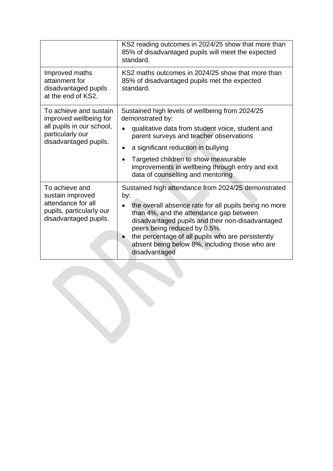|                                                                                                                            | KS2 reading outcomes in 2024/25 show that more than<br>85% of disadvantaged pupils will meet the expected<br>standard.                                                                                                                                                                                                                                                     |  |
|----------------------------------------------------------------------------------------------------------------------------|----------------------------------------------------------------------------------------------------------------------------------------------------------------------------------------------------------------------------------------------------------------------------------------------------------------------------------------------------------------------------|--|
| Improved maths<br>attainment for<br>disadvantaged pupils<br>at the end of KS2.                                             | KS2 maths outcomes in 2024/25 show that more than<br>85% of disadvantaged pupils met the expected<br>standard.                                                                                                                                                                                                                                                             |  |
| To achieve and sustain<br>improved wellbeing for<br>all pupils in our school,<br>particularly our<br>disadvantaged pupils. | Sustained high levels of wellbeing from 2024/25<br>demonstrated by:<br>qualitative data from student voice, student and<br>parent surveys and teacher observations<br>a significant reduction in bullying<br>$\bullet$<br>Targeted children to show measurable<br>$\bullet$<br>improvements in wellbeing through entry and exit<br>data of counselling and mentoring       |  |
| To achieve and<br>sustain improved<br>attendance for all<br>pupils, particularly our<br>disadvantaged pupils.              | Sustained high attendance from 2024/25 demonstrated<br>by:<br>the overall absence rate for all pupils being no more<br>than 4%, and the attendance gap between<br>disadvantaged pupils and their non-disadvantaged<br>peers being reduced by 0.5%.<br>the percentage of all pupils who are persistently<br>absent being below 8%, including those who are<br>disadvantaged |  |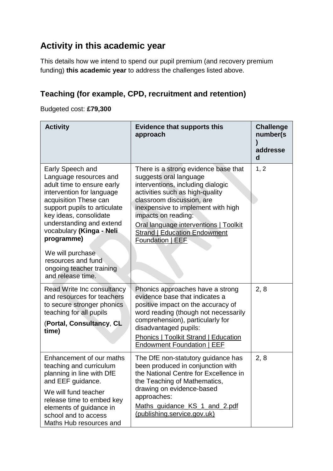#### **Activity in this academic year**

This details how we intend to spend our pupil premium (and recovery premium funding) **this academic year** to address the challenges listed above.

#### **Teaching (for example, CPD, recruitment and retention)**

Budgeted cost: **£79,300**

| <b>Activity</b>                                                                                                                                                                                                                                                                                                                                           | <b>Evidence that supports this</b><br>approach                                                                                                                                                                                                                                                                                       | <b>Challenge</b><br>number(s<br>addresse<br>d |
|-----------------------------------------------------------------------------------------------------------------------------------------------------------------------------------------------------------------------------------------------------------------------------------------------------------------------------------------------------------|--------------------------------------------------------------------------------------------------------------------------------------------------------------------------------------------------------------------------------------------------------------------------------------------------------------------------------------|-----------------------------------------------|
| Early Speech and<br>Language resources and<br>adult time to ensure early<br>intervention for language<br>acquisition These can<br>support pupils to articulate<br>key ideas, consolidate<br>understanding and extend<br>vocabulary (Kinga - Neli<br>programme)<br>We will purchase<br>resources and fund<br>ongoing teacher training<br>and release time. | There is a strong evidence base that<br>suggests oral language<br>interventions, including dialogic<br>activities such as high-quality<br>classroom discussion, are<br>inexpensive to implement with high<br>impacts on reading:<br>Oral language interventions   Toolkit<br><b>Strand   Education Endowment</b><br>Foundation   EEF | 1, 2                                          |
| Read Write Inc consultancy<br>and resources for teachers<br>to secure stronger phonics<br>teaching for all pupils<br>(Portal, Consultancy, CL<br>time)                                                                                                                                                                                                    | Phonics approaches have a strong<br>evidence base that indicates a<br>positive impact on the accuracy of<br>word reading (though not necessarily<br>comprehension), particularly for<br>disadvantaged pupils:<br><b>Phonics   Toolkit Strand   Education</b><br>Endowment Foundation   EEF                                           | 2, 8                                          |
| Enhancement of our maths<br>teaching and curriculum<br>planning in line with DfE<br>and EEF guidance.<br>We will fund teacher<br>release time to embed key<br>elements of guidance in<br>school and to access<br>Maths Hub resources and                                                                                                                  | The DfE non-statutory guidance has<br>been produced in conjunction with<br>the National Centre for Excellence in<br>the Teaching of Mathematics,<br>drawing on evidence-based<br>approaches:<br>Maths_guidance_KS_1_and_2.pdf<br>(publishing.service.gov.uk)                                                                         | 2, 8                                          |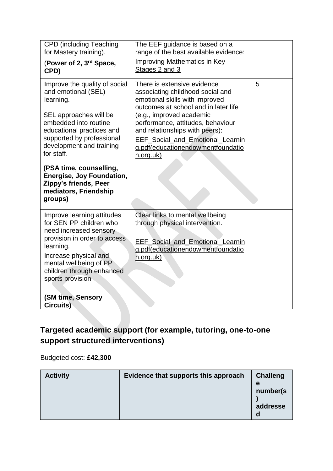| <b>CPD (including Teaching</b><br>for Mastery training).<br>(Power of 2, 3 <sup>rd</sup> Space,<br>CPD)                                                                                                                                                                                                                                       | The EEF guidance is based on a<br>range of the best available evidence:<br><b>Improving Mathematics in Key</b><br>Stages 2 and 3                                                                                                                                                                                                          |   |
|-----------------------------------------------------------------------------------------------------------------------------------------------------------------------------------------------------------------------------------------------------------------------------------------------------------------------------------------------|-------------------------------------------------------------------------------------------------------------------------------------------------------------------------------------------------------------------------------------------------------------------------------------------------------------------------------------------|---|
| Improve the quality of social<br>and emotional (SEL)<br>learning.<br>SEL approaches will be<br>embedded into routine<br>educational practices and<br>supported by professional<br>development and training<br>for staff.<br>(PSA time, counselling,<br>Energise, Joy Foundation,<br>Zippy's friends, Peer<br>mediators, Friendship<br>groups) | There is extensive evidence<br>associating childhood social and<br>emotional skills with improved<br>outcomes at school and in later life<br>(e.g., improved academic<br>performance, attitudes, behaviour<br>and relationships with peers):<br><b>EEF Social and Emotional Learnin</b><br>g.pdf(educationendowmentfoundatio<br>n.org.uk) | 5 |
| Improve learning attitudes<br>for SEN PP children who<br>need increased sensory<br>provision in order to access<br>learning.<br>Increase physical and<br>mental wellbeing of PP<br>children through enhanced<br>sports provision<br>(SM time, Sensory<br>Circuits)                                                                            | Clear links to mental wellbeing<br>through physical intervention.<br><b>EEF Social and Emotional Learnin</b><br>g.pdf(educationendowmentfoundatio<br>n.org.uk)                                                                                                                                                                            |   |

### **Targeted academic support (for example, tutoring, one-to-one support structured interventions)**

Budgeted cost: **£42,300**

| <b>Activity</b> | Evidence that supports this approach | <b>Challeng</b><br>e<br>number(s)<br>addresse |
|-----------------|--------------------------------------|-----------------------------------------------|
|-----------------|--------------------------------------|-----------------------------------------------|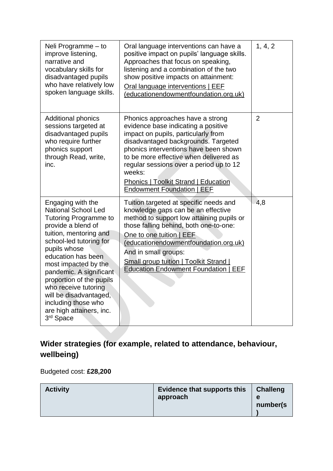| Neli Programme - to<br>improve listening,<br>narrative and<br>vocabulary skills for<br>disadvantaged pupils<br>who have relatively low<br>spoken language skills.                                                                                                                                                                                                                                             | Oral language interventions can have a<br>positive impact on pupils' language skills.<br>Approaches that focus on speaking,<br>listening and a combination of the two<br>show positive impacts on attainment:<br>Oral language interventions   EEF<br>(educationendowmentfoundation.org.uk)                                                                                | 1, 4, 2        |
|---------------------------------------------------------------------------------------------------------------------------------------------------------------------------------------------------------------------------------------------------------------------------------------------------------------------------------------------------------------------------------------------------------------|----------------------------------------------------------------------------------------------------------------------------------------------------------------------------------------------------------------------------------------------------------------------------------------------------------------------------------------------------------------------------|----------------|
| <b>Additional phonics</b><br>sessions targeted at<br>disadvantaged pupils<br>who require further<br>phonics support<br>through Read, write,<br>inc.                                                                                                                                                                                                                                                           | Phonics approaches have a strong<br>evidence base indicating a positive<br>impact on pupils, particularly from<br>disadvantaged backgrounds. Targeted<br>phonics interventions have been shown<br>to be more effective when delivered as<br>regular sessions over a period up to 12<br>weeks:<br><b>Phonics   Toolkit Strand   Education</b><br>Endowment Foundation   EEF | $\overline{2}$ |
| Engaging with the<br><b>National School Led</b><br><b>Tutoring Programme to</b><br>provide a blend of<br>tuition, mentoring and<br>school-led tutoring for<br>pupils whose<br>education has been<br>most impacted by the<br>pandemic. A significant<br>proportion of the pupils<br>who receive tutoring<br>will be disadvantaged,<br>including those who<br>are high attainers, inc.<br>3 <sup>rd</sup> Space | Tuition targeted at specific needs and<br>knowledge gaps can be an effective<br>method to support low attaining pupils or<br>those falling behind, both one-to-one:<br>One to one tuition   EEF<br>(educationendowmentfoundation.org.uk)<br>And in small groups:<br><b>Small group tuition   Toolkit Strand  </b><br><b>Education Endowment Foundation   EEF</b>           | 4,8            |

**Wider strategies (for example, related to attendance, behaviour, wellbeing)**

Budgeted cost: **£28,200**

| <b>Activity</b> | Evidence that supports this<br>approach | <b>Challeng</b><br>e<br>number(s) |
|-----------------|-----------------------------------------|-----------------------------------|
|-----------------|-----------------------------------------|-----------------------------------|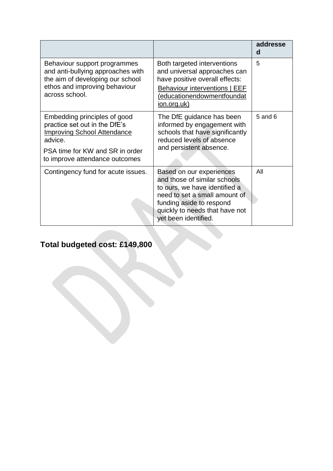|                                                                                                                                                                                     |                                                                                                                                                                                                                  | addresse<br>d |
|-------------------------------------------------------------------------------------------------------------------------------------------------------------------------------------|------------------------------------------------------------------------------------------------------------------------------------------------------------------------------------------------------------------|---------------|
| Behaviour support programmes<br>and anti-bullying approaches with<br>the aim of developing our school<br>ethos and improving behaviour<br>across school.                            | Both targeted interventions<br>and universal approaches can<br>have positive overall effects:<br><b>Behaviour interventions   EEF</b><br>(educationendowmentfoundat<br>ion.org.uk)                               | 5             |
| Embedding principles of good<br>practice set out in the DfE's<br><b>Improving School Attendance</b><br>advice.<br>PSA time for KW and SR in order<br>to improve attendance outcomes | The DfE guidance has been<br>informed by engagement with<br>schools that have significantly<br>reduced levels of absence<br>and persistent absence.                                                              | $5$ and $6$   |
| Contingency fund for acute issues.                                                                                                                                                  | Based on our experiences<br>and those of similar schools<br>to ours, we have identified a<br>need to set a small amount of<br>funding aside to respond<br>quickly to needs that have not<br>yet been identified. | All           |

# **Total budgeted cost: £149,800**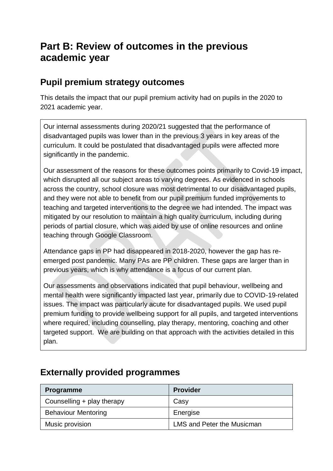## **Part B: Review of outcomes in the previous academic year**

#### **Pupil premium strategy outcomes**

This details the impact that our pupil premium activity had on pupils in the 2020 to 2021 academic year.

Our internal assessments during 2020/21 suggested that the performance of disadvantaged pupils was lower than in the previous 3 years in key areas of the curriculum. It could be postulated that disadvantaged pupils were affected more significantly in the pandemic.

Our assessment of the reasons for these outcomes points primarily to Covid-19 impact, which disrupted all our subject areas to varying degrees. As evidenced in schools across the country, school closure was most detrimental to our disadvantaged pupils, and they were not able to benefit from our pupil premium funded improvements to teaching and targeted interventions to the degree we had intended. The impact was mitigated by our resolution to maintain a high quality curriculum, including during periods of partial closure, which was aided by use of online resources and online teaching through Google Classroom.

Attendance gaps in PP had disappeared in 2018-2020, however the gap has reemerged post pandemic. Many PAs are PP children. These gaps are larger than in previous years, which is why attendance is a focus of our current plan.

Our assessments and observations indicated that pupil behaviour, wellbeing and mental health were significantly impacted last year, primarily due to COVID-19-related issues. The impact was particularly acute for disadvantaged pupils. We used pupil premium funding to provide wellbeing support for all pupils, and targeted interventions where required, including counselling, play therapy, mentoring, coaching and other targeted support. We are building on that approach with the activities detailed in this plan.

#### **Externally provided programmes**

| <b>Programme</b>           | <b>Provider</b>                   |
|----------------------------|-----------------------------------|
| Counselling + play therapy | Casy                              |
| <b>Behaviour Mentoring</b> | Energise                          |
| Music provision            | <b>LMS and Peter the Musicman</b> |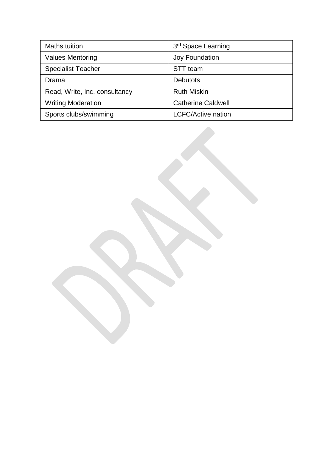| Maths tuition                 | 3rd Space Learning        |
|-------------------------------|---------------------------|
| <b>Values Mentoring</b>       | Joy Foundation            |
| <b>Specialist Teacher</b>     | STT team                  |
| Drama                         | <b>Debutots</b>           |
| Read, Write, Inc. consultancy | <b>Ruth Miskin</b>        |
| <b>Writing Moderation</b>     | <b>Catherine Caldwell</b> |
| Sports clubs/swimming         | <b>LCFC/Active nation</b> |